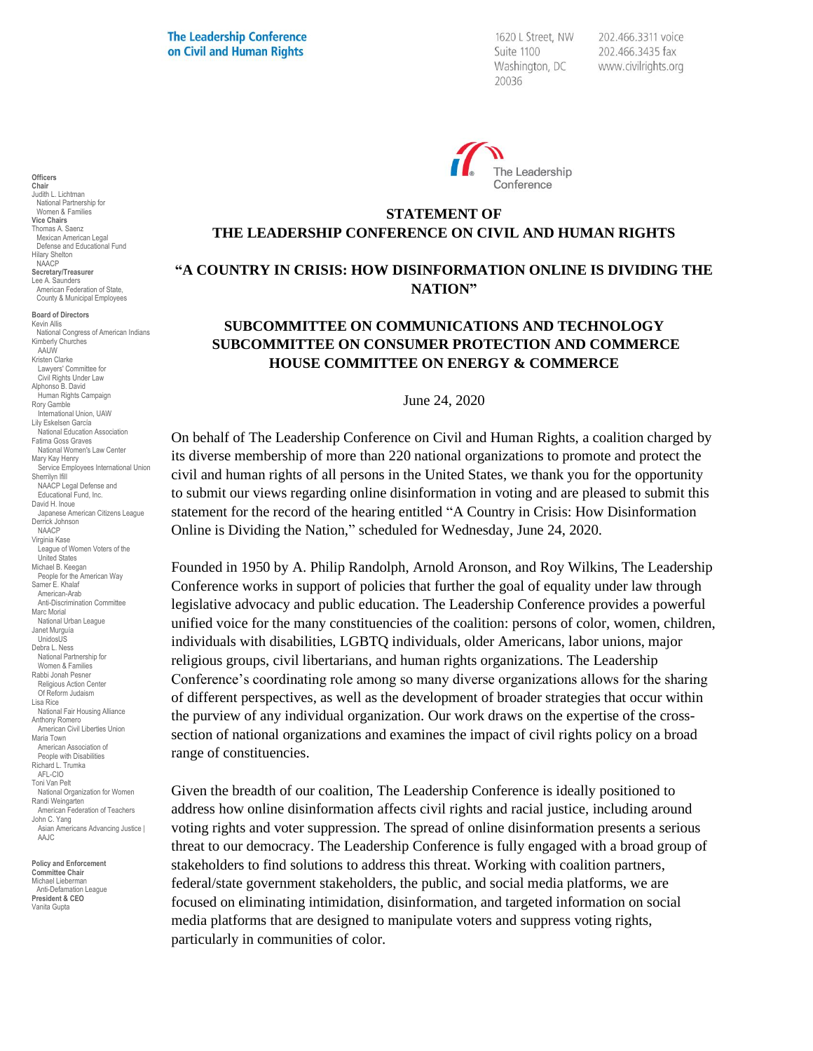**The Leadership Conference** on Civil and Human Rights

1620 L Street, NW Suite 1100 Washington, DC 20036

202.466.3311 voice 202.466.3435 fax www.civilrights.org



# **STATEMENT OF THE LEADERSHIP CONFERENCE ON CIVIL AND HUMAN RIGHTS**

### **"A COUNTRY IN CRISIS: HOW DISINFORMATION ONLINE IS DIVIDING THE NATION"**

## **SUBCOMMITTEE ON COMMUNICATIONS AND TECHNOLOGY SUBCOMMITTEE ON CONSUMER PROTECTION AND COMMERCE HOUSE COMMITTEE ON ENERGY & COMMERCE**

June 24, 2020

On behalf of The Leadership Conference on Civil and Human Rights, a coalition charged by its diverse membership of more than 220 national organizations to promote and protect the civil and human rights of all persons in the United States, we thank you for the opportunity to submit our views regarding online disinformation in voting and are pleased to submit this statement for the record of the hearing entitled "A Country in Crisis: How Disinformation Online is Dividing the Nation," scheduled for Wednesday, June 24, 2020.

Founded in 1950 by A. Philip Randolph, Arnold Aronson, and Roy Wilkins, The Leadership Conference works in support of policies that further the goal of equality under law through legislative advocacy and public education. The Leadership Conference provides a powerful unified voice for the many constituencies of the coalition: persons of color, women, children, individuals with disabilities, LGBTQ individuals, older Americans, labor unions, major religious groups, civil libertarians, and human rights organizations. The Leadership Conference's coordinating role among so many diverse organizations allows for the sharing of different perspectives, as well as the development of broader strategies that occur within the purview of any individual organization. Our work draws on the expertise of the crosssection of national organizations and examines the impact of civil rights policy on a broad range of constituencies.

Given the breadth of our coalition, The Leadership Conference is ideally positioned to address how online disinformation affects civil rights and racial justice, including around voting rights and voter suppression. The spread of online disinformation presents a serious threat to our democracy. The Leadership Conference is fully engaged with a broad group of stakeholders to find solutions to address this threat. Working with coalition partners, federal/state government stakeholders, the public, and social media platforms, we are focused on eliminating intimidation, disinformation, and targeted information on social media platforms that are designed to manipulate voters and suppress voting rights, particularly in communities of color.

**Chair** Judith L. Lichtman National Partnership for Women & Families **Vice Chairs** Thomas A. Saenz Mexican American Legal Defense and Educational Fund Hilary Shelton NAACP **Secretary/Treasurer** Lee A. Saunders American Federation of State, County & Municipal Employees **Board of Directors** Kevin Allis National Congress of American Indians Kimberly Churches AAUW

**Officers**

Kristen Clarke Lawyers' Committee for Civil Rights Under Law Alphonso B. David Human Rights Campaign Rory Gamble International Union, UAW Lily Eskelsen García National Education Association Fatima Goss Graves National Women's Law Center Mary Kay Henry Service Employees International Union Sherrilyn Ifill NAACP Legal Defense and Educational Fund, Inc. David H. Inoue Japanese American Citizens League Derrick Johnson NAACP Virginia Kase League of Women Voters of the United States Michael B. Keegan People for the American Way Samer E. Khalaf American-Arab Anti-Discrimination Committee Marc Morial National Urban League Janet Murguía UnidosUS Debra L. Ness National Partnership for Women & Families Rabbi Jonah Pesner Religious Action Center Of Reform Judaism Lisa Rice National Fair Housing Alliance Anthony Romero American Civil Liberties Union Maria Town American Association of People with Disabilities Richard L. Trumka AFL-CIO Toni Van Pelt National Organization for Women Randi Weingarten American Federation of Teachers John C. Yang Asian Americans Advancing Justice I AAJC

**Policy and Enforcement Committee Chair** Michael Lieberman Anti-Defamation League **President & CEO** Vanita Gupta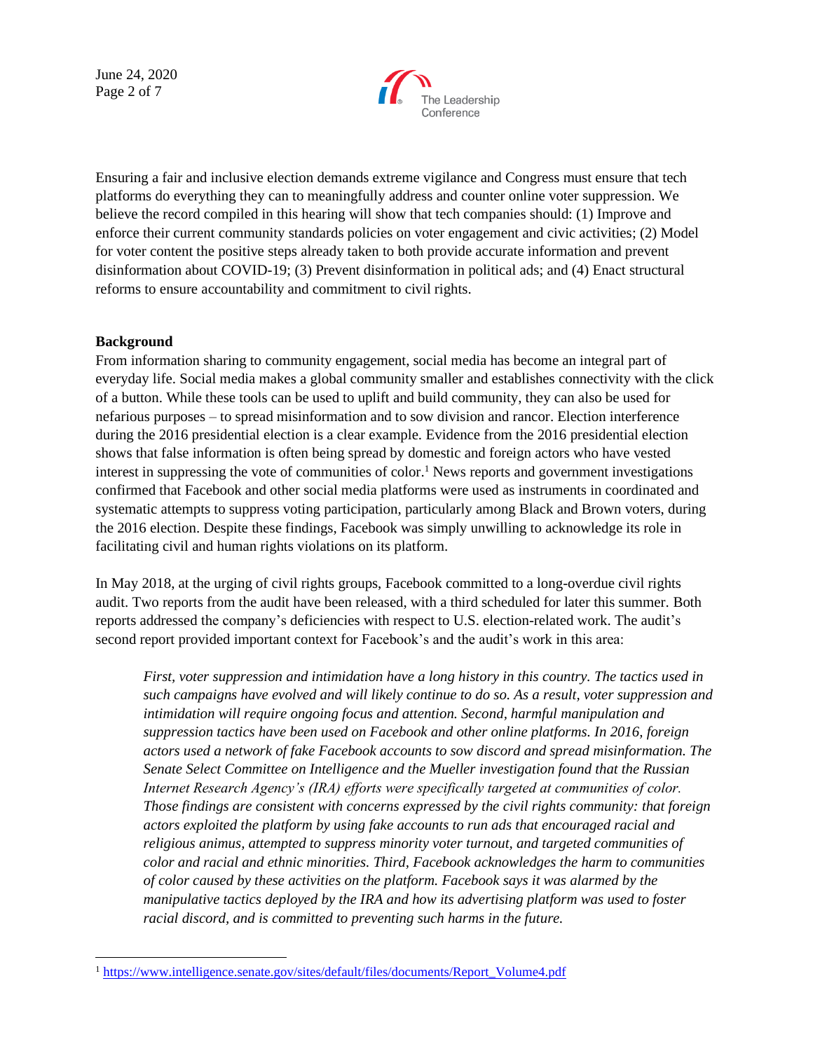June 24, 2020 Page 2 of 7



Ensuring a fair and inclusive election demands extreme vigilance and Congress must ensure that tech platforms do everything they can to meaningfully address and counter online voter suppression. We believe the record compiled in this hearing will show that tech companies should: (1) Improve and enforce their current community standards policies on voter engagement and civic activities; (2) Model for voter content the positive steps already taken to both provide accurate information and prevent disinformation about COVID-19; (3) Prevent disinformation in political ads; and (4) Enact structural reforms to ensure accountability and commitment to civil rights.

#### **Background**

From information sharing to community engagement, social media has become an integral part of everyday life. Social media makes a global community smaller and establishes connectivity with the click of a button. While these tools can be used to uplift and build community, they can also be used for nefarious purposes – to spread misinformation and to sow division and rancor. Election interference during the 2016 presidential election is a clear example. Evidence from the 2016 presidential election shows that false information is often being spread by domestic and foreign actors who have vested interest in suppressing the vote of communities of color.<sup>1</sup> News reports and government investigations confirmed that Facebook and other social media platforms were used as instruments in coordinated and systematic attempts to suppress voting participation, particularly among Black and Brown voters, during the 2016 election. Despite these findings, Facebook was simply unwilling to acknowledge its role in facilitating civil and human rights violations on its platform.

In May 2018, at the urging of civil rights groups, Facebook committed to a long-overdue civil rights audit. Two reports from the audit have been released, with a third scheduled for later this summer. Both reports addressed the company's deficiencies with respect to U.S. election-related work. The audit's second report provided important context for Facebook's and the audit's work in this area:

*First, voter suppression and intimidation have a long history in this country. The tactics used in such campaigns have evolved and will likely continue to do so. As a result, voter suppression and intimidation will require ongoing focus and attention. Second, harmful manipulation and suppression tactics have been used on Facebook and other online platforms. In 2016, foreign actors used a network of fake Facebook accounts to sow discord and spread misinformation. The Senate Select Committee on Intelligence and the Mueller investigation found that the Russian Internet Research Agency's (IRA) efforts were specifically targeted at communities of color. Those findings are consistent with concerns expressed by the civil rights community: that foreign actors exploited the platform by using fake accounts to run ads that encouraged racial and religious animus, attempted to suppress minority voter turnout, and targeted communities of color and racial and ethnic minorities. Third, Facebook acknowledges the harm to communities of color caused by these activities on the platform. Facebook says it was alarmed by the manipulative tactics deployed by the IRA and how its advertising platform was used to foster racial discord, and is committed to preventing such harms in the future.*

<sup>&</sup>lt;sup>1</sup> [https://www.intelligence.senate.gov/sites/default/files/documents/Report\\_Volume4.pdf](https://www.intelligence.senate.gov/sites/default/files/documents/Report_Volume4.pdf)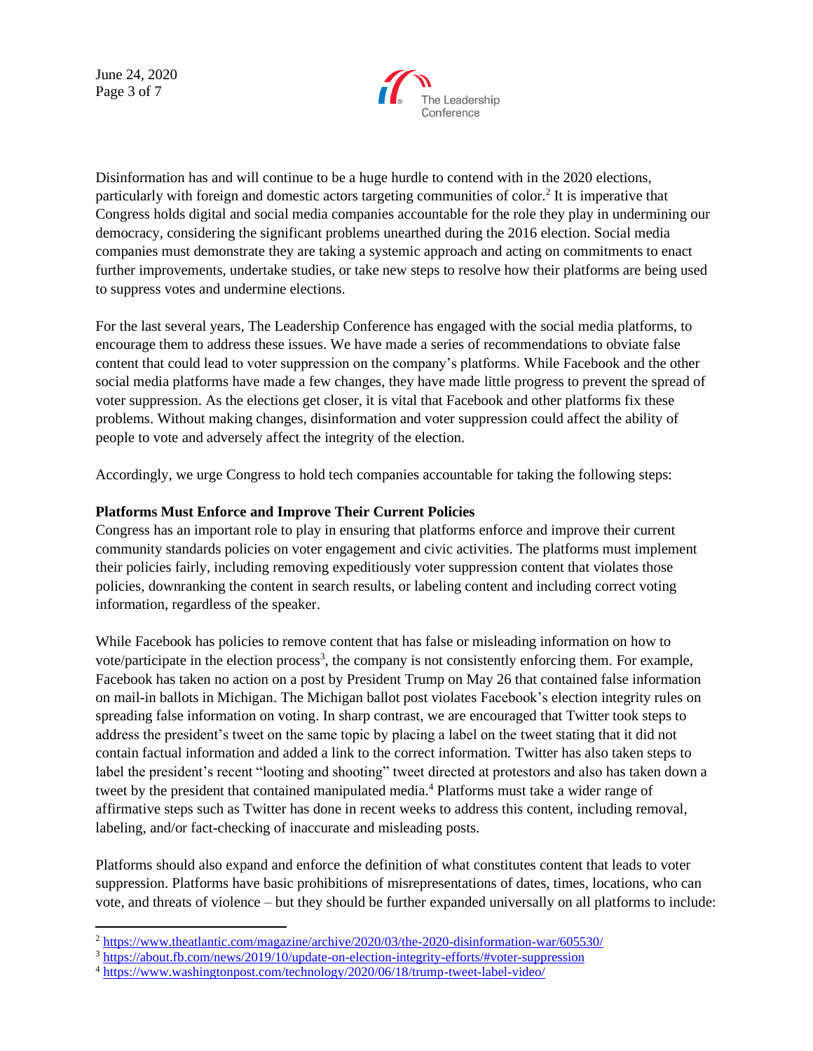June 24, 2020 Page 3 of 7



Disinformation has and will continue to be a huge hurdle to contend with in the 2020 elections, particularly with foreign and domestic actors targeting communities of color.<sup>2</sup> It is imperative that Congress holds digital and social media companies accountable for the role they play in undermining our democracy, considering the significant problems unearthed during the 2016 election. Social media companies must demonstrate they are taking a systemic approach and acting on commitments to enact further improvements, undertake studies, or take new steps to resolve how their platforms are being used to suppress votes and undermine elections.

For the last several years, The Leadership Conference has engaged with the social media platforms, to encourage them to address these issues. We have made a series of recommendations to obviate false content that could lead to voter suppression on the company's platforms. While Facebook and the other social media platforms have made a few changes, they have made little progress to prevent the spread of voter suppression. As the elections get closer, it is vital that Facebook and other platforms fix these problems. Without making changes, disinformation and voter suppression could affect the ability of people to vote and adversely affect the integrity of the election.

Accordingly, we urge Congress to hold tech companies accountable for taking the following steps:

### **Platforms Must Enforce and Improve Their Current Policies**

Congress has an important role to play in ensuring that platforms enforce and improve their current community standards policies on voter engagement and civic activities. The platforms must implement their policies fairly, including removing expeditiously voter suppression content that violates those policies, downranking the content in search results, or labeling content and including correct voting information, regardless of the speaker.

While Facebook has policies to remove content that has false or misleading information on how to vote/participate in the election process<sup>3</sup>, the company is not consistently enforcing them. For example, Facebook has taken no action on a post by President Trump on May 26 that contained false information on mail-in ballots in Michigan. The Michigan ballot post violates Facebook's election integrity rules on spreading false information on voting. In sharp contrast, we are encouraged that Twitter took steps to address the president's tweet on the same topic by placing a label on the tweet stating that it did not contain factual information and added a link to the correct information. Twitter has also taken steps to label the president's recent "looting and shooting" tweet directed at protestors and also has taken down a tweet by the president that contained manipulated media.<sup>4</sup> Platforms must take a wider range of affirmative steps such as Twitter has done in recent weeks to address this content, including removal, labeling, and/or fact-checking of inaccurate and misleading posts.

Platforms should also expand and enforce the definition of what constitutes content that leads to voter suppression. Platforms have basic prohibitions of misrepresentations of dates, times, locations, who can vote, and threats of violence – but they should be further expanded universally on all platforms to include:

<sup>2</sup> <https://www.theatlantic.com/magazine/archive/2020/03/the-2020-disinformation-war/605530/>

<sup>3</sup> <https://about.fb.com/news/2019/10/update-on-election-integrity-efforts/#voter-suppression>

<sup>4</sup> <https://www.washingtonpost.com/technology/2020/06/18/trump-tweet-label-video/>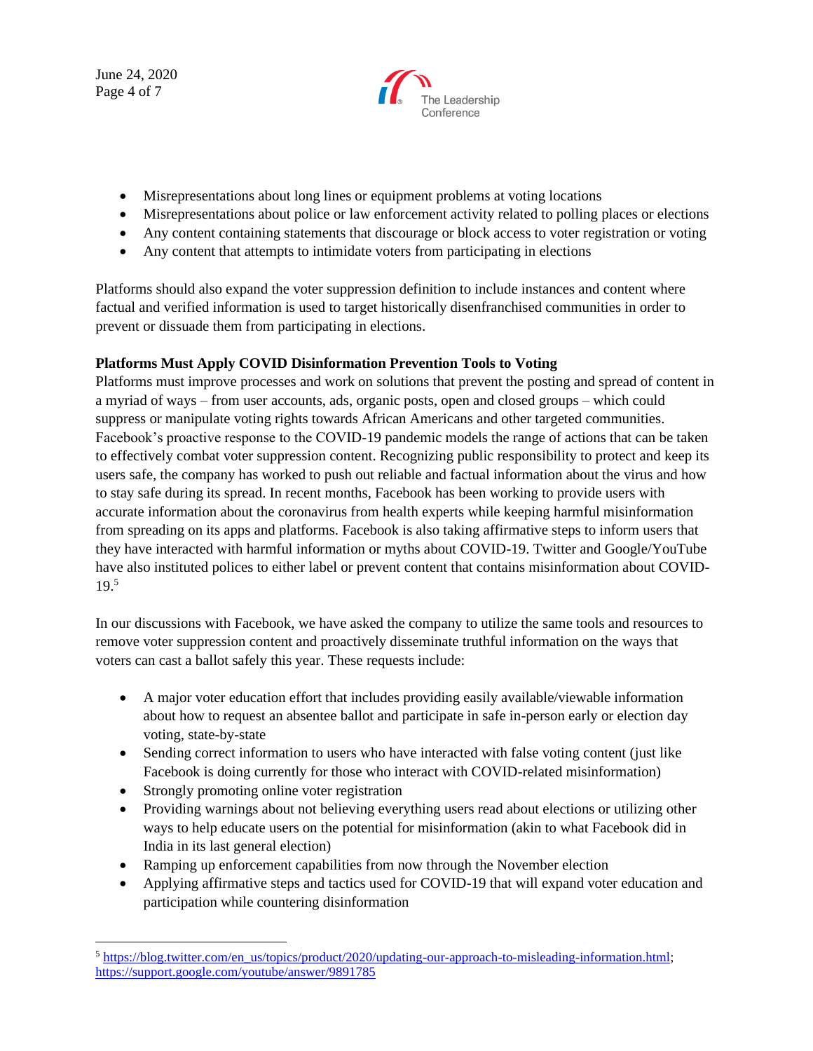June 24, 2020 Page 4 of 7



- Misrepresentations about long lines or equipment problems at voting locations
- Misrepresentations about police or law enforcement activity related to polling places or elections
- Any content containing statements that discourage or block access to voter registration or voting
- Any content that attempts to intimidate voters from participating in elections

Platforms should also expand the voter suppression definition to include instances and content where factual and verified information is used to target historically disenfranchised communities in order to prevent or dissuade them from participating in elections.

## **Platforms Must Apply COVID Disinformation Prevention Tools to Voting**

Platforms must improve processes and work on solutions that prevent the posting and spread of content in a myriad of ways – from user accounts, ads, organic posts, open and closed groups – which could suppress or manipulate voting rights towards African Americans and other targeted communities. Facebook's proactive response to the COVID-19 pandemic models the range of actions that can be taken to effectively combat voter suppression content. Recognizing public responsibility to protect and keep its users safe, the company has worked to push out reliable and factual information about the virus and how to stay safe during its spread. In recent months, Facebook has been working to provide users with accurate information about the coronavirus from health experts while keeping harmful misinformation from spreading on its apps and platforms. Facebook is also taking affirmative steps to inform users that they have interacted with harmful information or myths about COVID-19. Twitter and Google/YouTube have also instituted polices to either label or prevent content that contains misinformation about COVID-19. 5

In our discussions with Facebook, we have asked the company to utilize the same tools and resources to remove voter suppression content and proactively disseminate truthful information on the ways that voters can cast a ballot safely this year. These requests include:

- A major voter education effort that includes providing easily available/viewable information about how to request an absentee ballot and participate in safe in-person early or election day voting, state-by-state
- Sending correct information to users who have interacted with false voting content (just like Facebook is doing currently for those who interact with COVID-related misinformation)
- Strongly promoting online voter registration
- Providing warnings about not believing everything users read about elections or utilizing other ways to help educate users on the potential for misinformation (akin to what Facebook did in India in its last general election)
- Ramping up enforcement capabilities from now through the November election
- Applying affirmative steps and tactics used for COVID-19 that will expand voter education and participation while countering disinformation

<sup>&</sup>lt;sup>5</sup> [https://blog.twitter.com/en\\_us/topics/product/2020/updating-our-approach-to-misleading-information.html;](https://blog.twitter.com/en_us/topics/product/2020/updating-our-approach-to-misleading-information.html) <https://support.google.com/youtube/answer/9891785>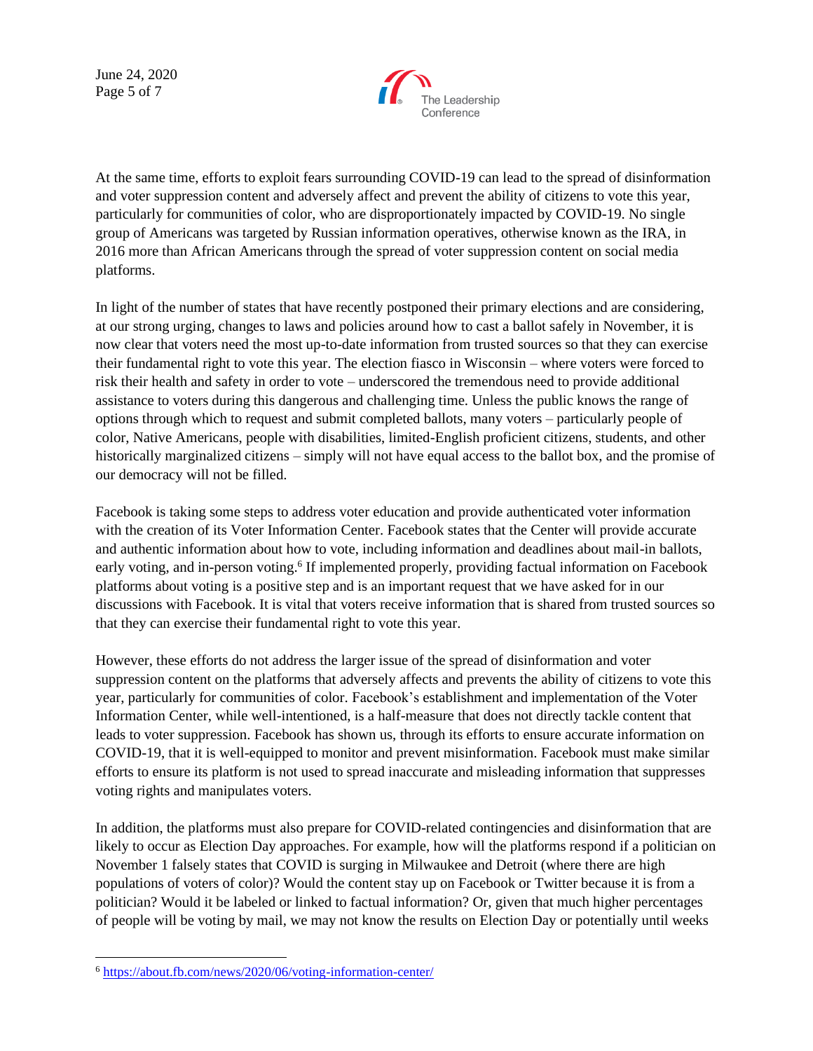June 24, 2020 Page 5 of 7



At the same time, efforts to exploit fears surrounding COVID-19 can lead to the spread of disinformation and voter suppression content and adversely affect and prevent the ability of citizens to vote this year, particularly for communities of color, who are disproportionately impacted by COVID-19. No single group of Americans was targeted by Russian information operatives, otherwise known as the IRA, in 2016 more than African Americans through the spread of voter suppression content on social media platforms.

In light of the number of states that have recently postponed their primary elections and are considering, at our strong urging, changes to laws and policies around how to cast a ballot safely in November, it is now clear that voters need the most up-to-date information from trusted sources so that they can exercise their fundamental right to vote this year. The election fiasco in Wisconsin – where voters were forced to risk their health and safety in order to vote – underscored the tremendous need to provide additional assistance to voters during this dangerous and challenging time. Unless the public knows the range of options through which to request and submit completed ballots, many voters – particularly people of color, Native Americans, people with disabilities, limited-English proficient citizens, students, and other historically marginalized citizens – simply will not have equal access to the ballot box, and the promise of our democracy will not be filled.

Facebook is taking some steps to address voter education and provide authenticated voter information with the creation of its Voter Information Center. Facebook states that the Center will provide accurate and authentic information about how to vote, including information and deadlines about mail-in ballots, early voting, and in-person voting.<sup>6</sup> If implemented properly, providing factual information on Facebook platforms about voting is a positive step and is an important request that we have asked for in our discussions with Facebook. It is vital that voters receive information that is shared from trusted sources so that they can exercise their fundamental right to vote this year.

However, these efforts do not address the larger issue of the spread of disinformation and voter suppression content on the platforms that adversely affects and prevents the ability of citizens to vote this year, particularly for communities of color. Facebook's establishment and implementation of the Voter Information Center, while well-intentioned, is a half-measure that does not directly tackle content that leads to voter suppression. Facebook has shown us, through its efforts to ensure accurate information on COVID-19, that it is well-equipped to monitor and prevent misinformation. Facebook must make similar efforts to ensure its platform is not used to spread inaccurate and misleading information that suppresses voting rights and manipulates voters.

In addition, the platforms must also prepare for COVID-related contingencies and disinformation that are likely to occur as Election Day approaches. For example, how will the platforms respond if a politician on November 1 falsely states that COVID is surging in Milwaukee and Detroit (where there are high populations of voters of color)? Would the content stay up on Facebook or Twitter because it is from a politician? Would it be labeled or linked to factual information? Or, given that much higher percentages of people will be voting by mail, we may not know the results on Election Day or potentially until weeks

<sup>6</sup> <https://about.fb.com/news/2020/06/voting-information-center/>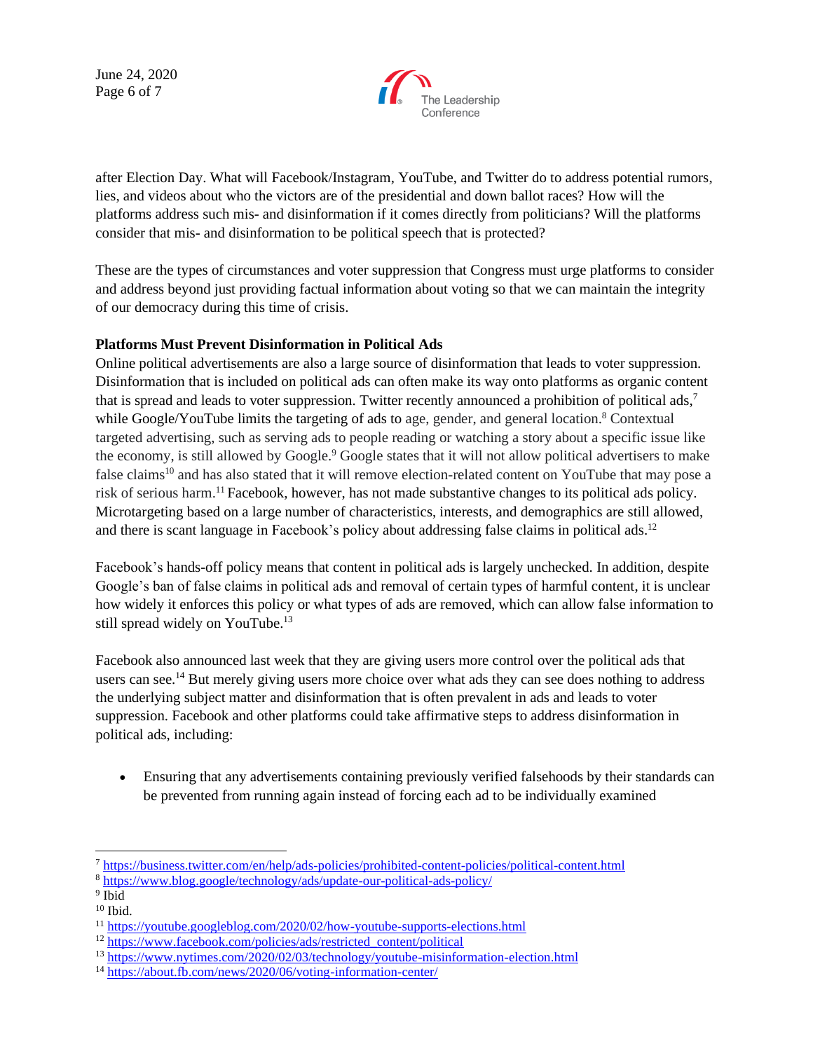June 24, 2020 Page 6 of 7



after Election Day. What will Facebook/Instagram, YouTube, and Twitter do to address potential rumors, lies, and videos about who the victors are of the presidential and down ballot races? How will the platforms address such mis- and disinformation if it comes directly from politicians? Will the platforms consider that mis- and disinformation to be political speech that is protected?

These are the types of circumstances and voter suppression that Congress must urge platforms to consider and address beyond just providing factual information about voting so that we can maintain the integrity of our democracy during this time of crisis.

### **Platforms Must Prevent Disinformation in Political Ads**

Online political advertisements are also a large source of disinformation that leads to voter suppression. Disinformation that is included on political ads can often make its way onto platforms as organic content that is spread and leads to voter suppression. Twitter recently announced a prohibition of political ads,<sup>7</sup> while Google/YouTube limits the targeting of ads to age, gender, and general location.<sup>8</sup> Contextual targeted advertising, such as serving ads to people reading or watching a story about a specific issue like the economy, is still allowed by Google.<sup>9</sup> Google states that it will not allow political advertisers to make false claims<sup>10</sup> and has also stated that it will remove election-related content on YouTube that may pose a risk of serious harm.<sup>11</sup> Facebook, however, has not made substantive changes to its political ads policy. Microtargeting based on a large number of characteristics, interests, and demographics are still allowed, and there is scant language in Facebook's policy about addressing false claims in political ads.<sup>12</sup>

Facebook's hands-off policy means that content in political ads is largely unchecked. In addition, despite Google's ban of false claims in political ads and removal of certain types of harmful content, it is unclear how widely it enforces this policy or what types of ads are removed, which can allow false information to still spread widely on YouTube.<sup>13</sup>

Facebook also announced last week that they are giving users more control over the political ads that users can see.<sup>14</sup> But merely giving users more choice over what ads they can see does nothing to address the underlying subject matter and disinformation that is often prevalent in ads and leads to voter suppression. Facebook and other platforms could take affirmative steps to address disinformation in political ads, including:

• Ensuring that any advertisements containing previously verified falsehoods by their standards can be prevented from running again instead of forcing each ad to be individually examined

<sup>7</sup> <https://business.twitter.com/en/help/ads-policies/prohibited-content-policies/political-content.html>

<sup>8</sup> <https://www.blog.google/technology/ads/update-our-political-ads-policy/>

<sup>&</sup>lt;sup>9</sup> Ibid

 $^{10}$  Ibid.

<sup>11</sup> <https://youtube.googleblog.com/2020/02/how-youtube-supports-elections.html>

<sup>12</sup> [https://www.facebook.com/policies/ads/restricted\\_content/political](https://www.facebook.com/policies/ads/restricted_content/political)

<sup>13</sup> <https://www.nytimes.com/2020/02/03/technology/youtube-misinformation-election.html>

<sup>14</sup> <https://about.fb.com/news/2020/06/voting-information-center/>